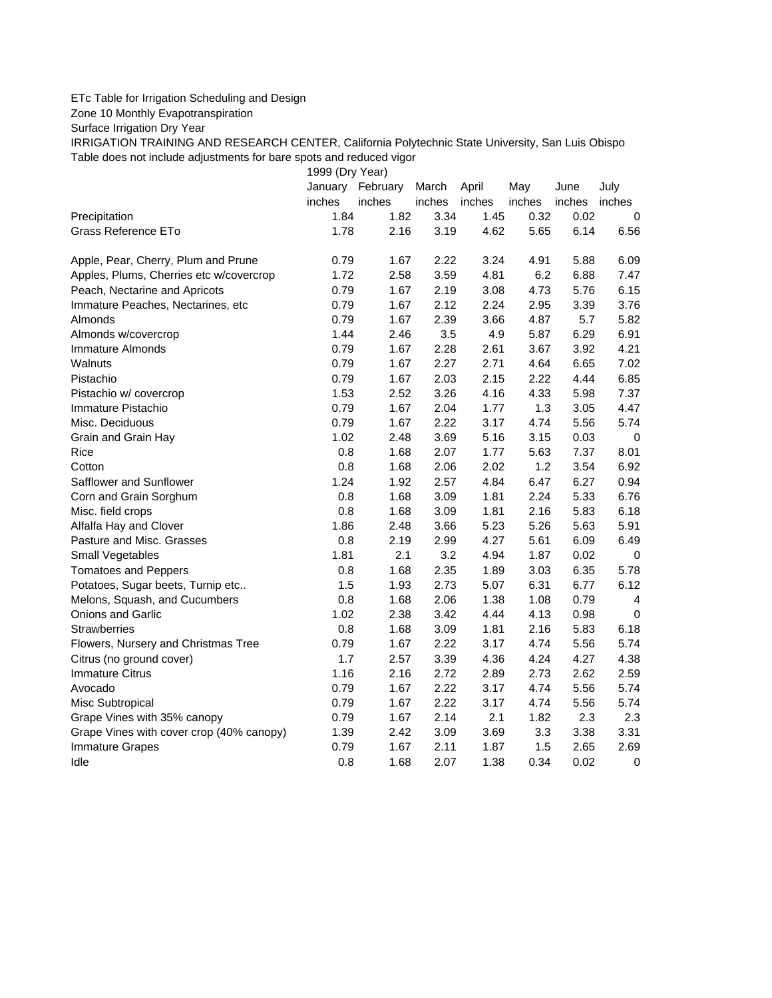## ETc Table for Irrigation Scheduling and Design

Zone 10 Monthly Evapotranspiration

Surface Irrigation Dry Year

IRRIGATION TRAINING AND RESEARCH CENTER, California Polytechnic State University, San Luis Obispo Table does not include adjustments for bare spots and reduced vigor

1999 (Dry Year)

|                                          |        | January February | March  | April  | May    | June   | July        |
|------------------------------------------|--------|------------------|--------|--------|--------|--------|-------------|
|                                          | inches | inches           | inches | inches | inches | inches | inches      |
| Precipitation                            | 1.84   | 1.82             | 3.34   | 1.45   | 0.32   | 0.02   | 0           |
| Grass Reference ETo                      | 1.78   | 2.16             | 3.19   | 4.62   | 5.65   | 6.14   | 6.56        |
| Apple, Pear, Cherry, Plum and Prune      | 0.79   | 1.67             | 2.22   | 3.24   | 4.91   | 5.88   | 6.09        |
| Apples, Plums, Cherries etc w/covercrop  | 1.72   | 2.58             | 3.59   | 4.81   | 6.2    | 6.88   | 7.47        |
| Peach, Nectarine and Apricots            | 0.79   | 1.67             | 2.19   | 3.08   | 4.73   | 5.76   | 6.15        |
| Immature Peaches, Nectarines, etc        | 0.79   | 1.67             | 2.12   | 2.24   | 2.95   | 3.39   | 3.76        |
| Almonds                                  | 0.79   | 1.67             | 2.39   | 3.66   | 4.87   | 5.7    | 5.82        |
| Almonds w/covercrop                      | 1.44   | 2.46             | 3.5    | 4.9    | 5.87   | 6.29   | 6.91        |
| Immature Almonds                         | 0.79   | 1.67             | 2.28   | 2.61   | 3.67   | 3.92   | 4.21        |
| Walnuts                                  | 0.79   | 1.67             | 2.27   | 2.71   | 4.64   | 6.65   | 7.02        |
| Pistachio                                | 0.79   | 1.67             | 2.03   | 2.15   | 2.22   | 4.44   | 6.85        |
| Pistachio w/ covercrop                   | 1.53   | 2.52             | 3.26   | 4.16   | 4.33   | 5.98   | 7.37        |
| Immature Pistachio                       | 0.79   | 1.67             | 2.04   | 1.77   | 1.3    | 3.05   | 4.47        |
| Misc. Deciduous                          | 0.79   | 1.67             | 2.22   | 3.17   | 4.74   | 5.56   | 5.74        |
| Grain and Grain Hay                      | 1.02   | 2.48             | 3.69   | 5.16   | 3.15   | 0.03   | $\mathbf 0$ |
| Rice                                     | 0.8    | 1.68             | 2.07   | 1.77   | 5.63   | 7.37   | 8.01        |
| Cotton                                   | 0.8    | 1.68             | 2.06   | 2.02   | 1.2    | 3.54   | 6.92        |
| Safflower and Sunflower                  | 1.24   | 1.92             | 2.57   | 4.84   | 6.47   | 6.27   | 0.94        |
| Corn and Grain Sorghum                   | 0.8    | 1.68             | 3.09   | 1.81   | 2.24   | 5.33   | 6.76        |
| Misc. field crops                        | 0.8    | 1.68             | 3.09   | 1.81   | 2.16   | 5.83   | 6.18        |
| Alfalfa Hay and Clover                   | 1.86   | 2.48             | 3.66   | 5.23   | 5.26   | 5.63   | 5.91        |
| Pasture and Misc. Grasses                | 0.8    | 2.19             | 2.99   | 4.27   | 5.61   | 6.09   | 6.49        |
| Small Vegetables                         | 1.81   | 2.1              | 3.2    | 4.94   | 1.87   | 0.02   | $\pmb{0}$   |
| <b>Tomatoes and Peppers</b>              | 0.8    | 1.68             | 2.35   | 1.89   | 3.03   | 6.35   | 5.78        |
| Potatoes, Sugar beets, Turnip etc        | 1.5    | 1.93             | 2.73   | 5.07   | 6.31   | 6.77   | 6.12        |
| Melons, Squash, and Cucumbers            | 0.8    | 1.68             | 2.06   | 1.38   | 1.08   | 0.79   | 4           |
| Onions and Garlic                        | 1.02   | 2.38             | 3.42   | 4.44   | 4.13   | 0.98   | 0           |
| <b>Strawberries</b>                      | 0.8    | 1.68             | 3.09   | 1.81   | 2.16   | 5.83   | 6.18        |
| Flowers, Nursery and Christmas Tree      | 0.79   | 1.67             | 2.22   | 3.17   | 4.74   | 5.56   | 5.74        |
| Citrus (no ground cover)                 | 1.7    | 2.57             | 3.39   | 4.36   | 4.24   | 4.27   | 4.38        |
| <b>Immature Citrus</b>                   | 1.16   | 2.16             | 2.72   | 2.89   | 2.73   | 2.62   | 2.59        |
| Avocado                                  | 0.79   | 1.67             | 2.22   | 3.17   | 4.74   | 5.56   | 5.74        |
| Misc Subtropical                         | 0.79   | 1.67             | 2.22   | 3.17   | 4.74   | 5.56   | 5.74        |
| Grape Vines with 35% canopy              | 0.79   | 1.67             | 2.14   | 2.1    | 1.82   | 2.3    | 2.3         |
| Grape Vines with cover crop (40% canopy) | 1.39   | 2.42             | 3.09   | 3.69   | 3.3    | 3.38   | 3.31        |
| <b>Immature Grapes</b>                   | 0.79   | 1.67             | 2.11   | 1.87   | 1.5    | 2.65   | 2.69        |
| Idle                                     | 0.8    | 1.68             | 2.07   | 1.38   | 0.34   | 0.02   | 0           |